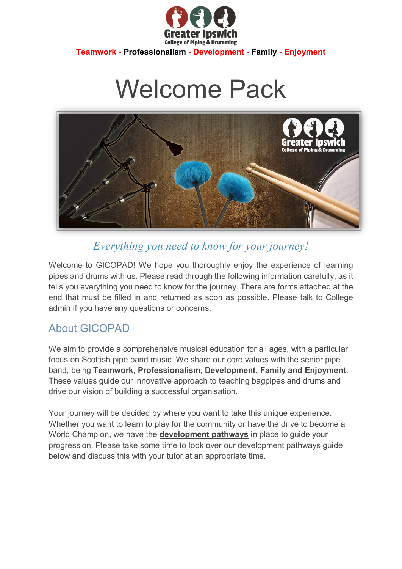

**Teamwork - Professionalism - Development - Family - Enjoyment**  $\mathcal{L}_\mathcal{L} = \{ \mathcal{L}_\mathcal{L} = \{ \mathcal{L}_\mathcal{L} = \{ \mathcal{L}_\mathcal{L} = \{ \mathcal{L}_\mathcal{L} = \{ \mathcal{L}_\mathcal{L} = \{ \mathcal{L}_\mathcal{L} = \{ \mathcal{L}_\mathcal{L} = \{ \mathcal{L}_\mathcal{L} = \{ \mathcal{L}_\mathcal{L} = \{ \mathcal{L}_\mathcal{L} = \{ \mathcal{L}_\mathcal{L} = \{ \mathcal{L}_\mathcal{L} = \{ \mathcal{L}_\mathcal{L} = \{ \mathcal{L}_\mathcal{$ 

# Welcome Pack



### *Everything you need to know for your journey!*

Welcome to GICOPAD! We hope you thoroughly enjoy the experience of learning pipes and drums with us. Please read through the following information carefully, as it tells you everything you need to know for the journey. There are forms attached at the end that must be filled in and returned as soon as possible. Please talk to College admin if you have any questions or concerns.

#### About GICOPAD

We aim to provide a comprehensive musical education for all ages, with a particular focus on Scottish pipe band music. We share our core values with the senior pipe band, being **Teamwork, Professionalism, Development, Family and Enjoyment**. These values guide our innovative approach to teaching bagpipes and drums and drive our vision of building a successful organisation.

Your journey will be decided by where you want to take this unique experience. Whether you want to learn to play for the community or have the drive to become a World Champion, we have the **development pathways** in place to guide your progression. Please take some time to look over our development pathways guide below and discuss this with your tutor at an appropriate time.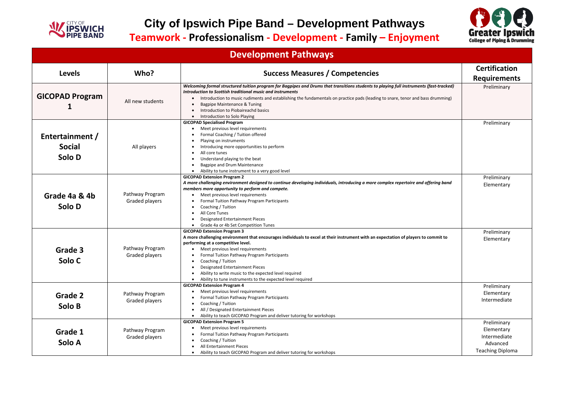

## **City of Ipswich Pipe Band – Development Pathways**

**Teamwork - Professionalism - Development - Family – Enjoyment** 

### **Development Pathways**

| <b>Levels</b>                              | Who?                              | <b>Success Measures / Competencies</b>                                                                                                                                                                                                                                                                                                                                                                                                                                                    | <b>Certification</b><br><b>Requirements</b>                                      |
|--------------------------------------------|-----------------------------------|-------------------------------------------------------------------------------------------------------------------------------------------------------------------------------------------------------------------------------------------------------------------------------------------------------------------------------------------------------------------------------------------------------------------------------------------------------------------------------------------|----------------------------------------------------------------------------------|
| <b>GICOPAD Program</b>                     | All new students                  | Welcoming formal structured tuition program for Bagpipes and Drums that transitions students to playing full instruments (fast-tracked)<br>Introduction to Scottish traditional music and instruments<br>Introduction to music rudiments and establishing the fundamentals on practice pads (leading to snare, tenor and bass drumming)<br>Bagpipe Maintenance & Tuning<br>Introduction to Piobaireachd basics<br>Introduction to Solo Playing                                            | Preliminary                                                                      |
| Entertainment /<br><b>Social</b><br>Solo D | All players                       | <b>GICOPAD Specialised Program</b><br>Meet previous level requirements<br>Formal Coaching / Tuition offered<br>Playing on instruments<br>Introducing more opportunities to perform<br>All core tunes<br>Understand playing to the beat<br>Bagpipe and Drum Maintenance<br>Ability to tune instrument to a very good level                                                                                                                                                                 | Preliminary                                                                      |
| Grade 4a & 4b<br>Solo D                    | Pathway Program<br>Graded players | <b>GICOPAD Extension Program 2</b><br>A more challenging environment designed to continue developing individuals, introducing a more complex repertoire and offering band<br>members more opportunity to perform and compete.<br>Meet previous level requirements<br>Formal Tuition Pathway Program Participants<br>Coaching / Tuition<br>All Core Tunes<br><b>Designated Entertainment Pieces</b><br>Grade 4a or 4b Set Competition Tunes                                                | Preliminary<br>Elementary                                                        |
| Grade 3<br>Solo C                          | Pathway Program<br>Graded players | <b>GICOPAD Extension Program 3</b><br>A more challenging environment that encourages individuals to excel at their instrument with an expectation of players to commit to<br>performing at a competitive level.<br>Meet previous level requirements<br>Formal Tuition Pathway Program Participants<br>Coaching / Tuition<br><b>Designated Entertainment Pieces</b><br>Ability to write music to the expected level required<br>Ability to tune instruments to the expected level required | Preliminary<br>Elementary                                                        |
| Grade 2<br>Solo B                          | Pathway Program<br>Graded players | <b>GICOPAD Extension Program 4</b><br>Meet previous level requirements<br>Formal Tuition Pathway Program Participants<br>Coaching / Tuition<br>All / Designated Entertainment Pieces<br>Ability to teach GICOPAD Program and deliver tutoring for workshops                                                                                                                                                                                                                               | Preliminary<br>Elementary<br>Intermediate                                        |
| Grade 1<br>Solo A                          | Pathway Program<br>Graded players | <b>GICOPAD Extension Program 5</b><br>Meet previous level requirements<br>Formal Tuition Pathway Program Participants<br>Coaching / Tuition<br>All Entertainment Pieces<br>Ability to teach GICOPAD Program and deliver tutoring for workshops                                                                                                                                                                                                                                            | Preliminary<br>Elementary<br>Intermediate<br>Advanced<br><b>Teaching Diploma</b> |



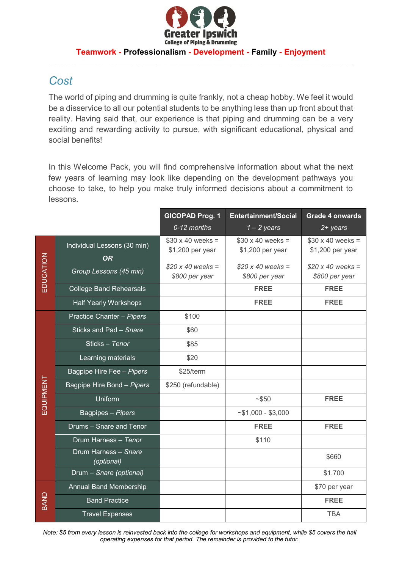

#### **Teamwork - Professionalism - Development - Family - Enjoyment** \_\_\_\_\_\_\_\_\_\_\_\_\_\_\_\_\_\_\_\_\_\_\_\_\_\_\_\_\_\_\_\_\_\_\_\_\_\_\_\_\_\_\_\_\_\_\_\_\_\_\_\_\_\_\_\_\_\_\_\_\_\_\_\_\_\_\_\_\_\_\_\_\_\_\_\_\_\_\_\_\_\_\_\_\_\_\_\_\_\_

#### *Cost*

The world of piping and drumming is quite frankly, not a cheap hobby. We feel it would be a disservice to all our potential students to be anything less than up front about that reality. Having said that, our experience is that piping and drumming can be a very exciting and rewarding activity to pursue, with significant educational, physical and social benefits!

In this Welcome Pack, you will find comprehensive information about what the next few years of learning may look like depending on the development pathways you choose to take, to help you make truly informed decisions about a commitment to lessons.

|           |                                          | <b>GICOPAD Prog. 1</b>                      | <b>Entertainment/Social</b>                 | <b>Grade 4 onwards</b>                      |
|-----------|------------------------------------------|---------------------------------------------|---------------------------------------------|---------------------------------------------|
|           |                                          | 0-12 months                                 | $1 - 2$ years                               | $2 + years$                                 |
| EDUCATION | Individual Lessons (30 min)<br><b>OR</b> | $$30 \times 40$ weeks =<br>\$1,200 per year | $$30 \times 40$ weeks =<br>\$1,200 per year | $$30 \times 40$ weeks =<br>\$1,200 per year |
|           | Group Lessons (45 min)                   | $$20 x 40 weeks =$<br>\$800 per year        | $$20 x 40 weeks =$<br>\$800 per year        | $$20 x 40 weeks =$<br>\$800 per year        |
|           | <b>College Band Rehearsals</b>           |                                             | <b>FREE</b>                                 | <b>FREE</b>                                 |
|           | <b>Half Yearly Workshops</b>             |                                             | <b>FREE</b>                                 | <b>FREE</b>                                 |
| EQUIPMENT | Practice Chanter - Pipers                | \$100                                       |                                             |                                             |
|           | Sticks and Pad - Snare                   | \$60                                        |                                             |                                             |
|           | Sticks - Tenor                           | \$85                                        |                                             |                                             |
|           | Learning materials                       | \$20                                        |                                             |                                             |
|           | Bagpipe Hire Fee - Pipers                | \$25/term                                   |                                             |                                             |
|           | Bagpipe Hire Bond - Pipers               | \$250 (refundable)                          |                                             |                                             |
|           | Uniform                                  |                                             | ~150                                        | <b>FREE</b>                                 |
|           | Bagpipes - Pipers                        |                                             | $~51,000 - $3,000$                          |                                             |
|           | Drums - Snare and Tenor                  |                                             | <b>FREE</b>                                 | <b>FREE</b>                                 |
|           | Drum Harness - Tenor                     |                                             | \$110                                       |                                             |
|           | Drum Harness - Snare<br>(optional)       |                                             |                                             | \$660                                       |
|           | Drum - Snare (optional)                  |                                             |                                             | \$1,700                                     |
| BAND      | Annual Band Membership                   |                                             |                                             | \$70 per year                               |
|           | <b>Band Practice</b>                     |                                             |                                             | <b>FREE</b>                                 |
|           | <b>Travel Expenses</b>                   |                                             |                                             | <b>TBA</b>                                  |

Note: \$5 from every lesson is reinvested back into the college for workshops and equipment, while \$5 covers the hall *operating expenses for that period. The remainder is provided to the tutor.*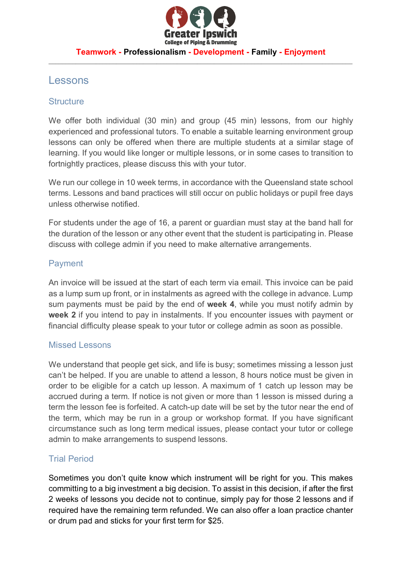

#### **Teamwork - Professionalism - Development - Family - Enjoyment** \_\_\_\_\_\_\_\_\_\_\_\_\_\_\_\_\_\_\_\_\_\_\_\_\_\_\_\_\_\_\_\_\_\_\_\_\_\_\_\_\_\_\_\_\_\_\_\_\_\_\_\_\_\_\_\_\_\_\_\_\_\_\_\_\_\_\_\_\_\_\_\_\_\_\_\_\_\_\_\_\_\_\_\_\_\_\_\_\_\_

#### Lessons

#### **Structure**

We offer both individual (30 min) and group (45 min) lessons, from our highly experienced and professional tutors. To enable a suitable learning environment group lessons can only be offered when there are multiple students at a similar stage of learning. If you would like longer or multiple lessons, or in some cases to transition to fortnightly practices, please discuss this with your tutor.

We run our college in 10 week terms, in accordance with the Queensland state school terms. Lessons and band practices will still occur on public holidays or pupil free days unless otherwise notified.

For students under the age of 16, a parent or guardian must stay at the band hall for the duration of the lesson or any other event that the student is participating in. Please discuss with college admin if you need to make alternative arrangements.

#### Payment

An invoice will be issued at the start of each term via email. This invoice can be paid as a lump sum up front, or in instalments as agreed with the college in advance. Lump sum payments must be paid by the end of **week 4**, while you must notify admin by **week 2** if you intend to pay in instalments. If you encounter issues with payment or financial difficulty please speak to your tutor or college admin as soon as possible.

#### Missed Lessons

We understand that people get sick, and life is busy; sometimes missing a lesson just can't be helped. If you are unable to attend a lesson, 8 hours notice must be given in order to be eligible for a catch up lesson. A maximum of 1 catch up lesson may be accrued during a term. If notice is not given or more than 1 lesson is missed during a term the lesson fee is forfeited. A catch-up date will be set by the tutor near the end of the term, which may be run in a group or workshop format. If you have significant circumstance such as long term medical issues, please contact your tutor or college admin to make arrangements to suspend lessons.

#### Trial Period

Sometimes you don't quite know which instrument will be right for you. This makes committing to a big investment a big decision. To assist in this decision, if after the first 2 weeks of lessons you decide not to continue, simply pay for those 2 lessons and if required have the remaining term refunded. We can also offer a loan practice chanter or drum pad and sticks for your first term for \$25.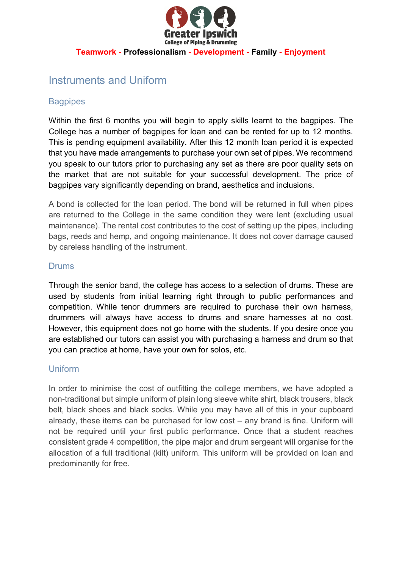

#### **Teamwork - Professionalism - Development - Family - Enjoyment** \_\_\_\_\_\_\_\_\_\_\_\_\_\_\_\_\_\_\_\_\_\_\_\_\_\_\_\_\_\_\_\_\_\_\_\_\_\_\_\_\_\_\_\_\_\_\_\_\_\_\_\_\_\_\_\_\_\_\_\_\_\_\_\_\_\_\_\_\_\_\_\_\_\_\_\_\_\_\_\_\_\_\_\_\_\_\_\_\_\_

#### Instruments and Uniform

#### **Bagpipes**

Within the first 6 months you will begin to apply skills learnt to the bagpipes. The College has a number of bagpipes for loan and can be rented for up to 12 months. This is pending equipment availability. After this 12 month loan period it is expected that you have made arrangements to purchase your own set of pipes. We recommend you speak to our tutors prior to purchasing any set as there are poor quality sets on the market that are not suitable for your successful development. The price of bagpipes vary significantly depending on brand, aesthetics and inclusions.

A bond is collected for the loan period. The bond will be returned in full when pipes are returned to the College in the same condition they were lent (excluding usual maintenance). The rental cost contributes to the cost of setting up the pipes, including bags, reeds and hemp, and ongoing maintenance. It does not cover damage caused by careless handling of the instrument.

#### Drums

Through the senior band, the college has access to a selection of drums. These are used by students from initial learning right through to public performances and competition. While tenor drummers are required to purchase their own harness, drummers will always have access to drums and snare harnesses at no cost. However, this equipment does not go home with the students. If you desire once you are established our tutors can assist you with purchasing a harness and drum so that you can practice at home, have your own for solos, etc.

#### Uniform

In order to minimise the cost of outfitting the college members, we have adopted a non-traditional but simple uniform of plain long sleeve white shirt, black trousers, black belt, black shoes and black socks. While you may have all of this in your cupboard already, these items can be purchased for low cost – any brand is fine. Uniform will not be required until your first public performance. Once that a student reaches consistent grade 4 competition, the pipe major and drum sergeant will organise for the allocation of a full traditional (kilt) uniform. This uniform will be provided on loan and predominantly for free.